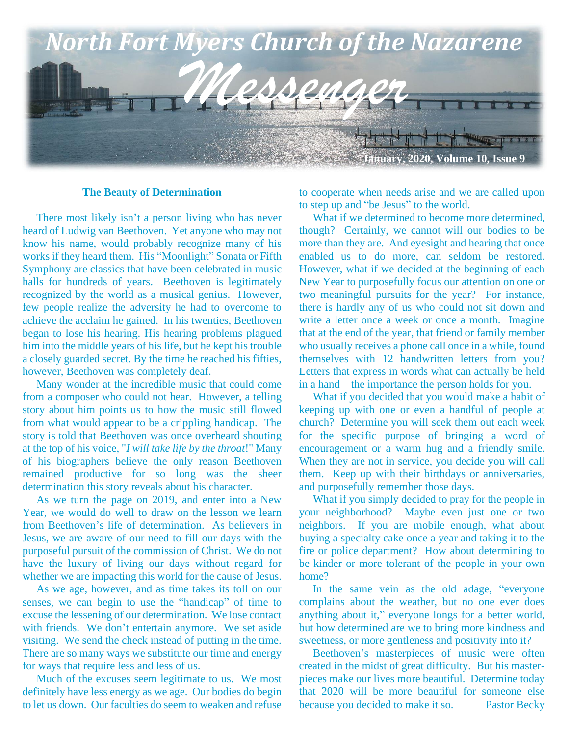

#### **The Beauty of Determination**

 There most likely isn't a person living who has never heard of Ludwig van Beethoven. Yet anyone who may not know his name, would probably recognize many of his works if they heard them. His "Moonlight" Sonata or Fifth Symphony are classics that have been celebrated in music halls for hundreds of years. Beethoven is legitimately recognized by the world as a musical genius. However, few people realize the adversity he had to overcome to achieve the acclaim he gained. In his twenties, Beethoven began to lose his hearing. His hearing problems plagued him into the middle years of his life, but he kept his trouble a closely guarded secret. By the time he reached his fifties, however, Beethoven was completely deaf.

 Many wonder at the incredible music that could come from a composer who could not hear. However, a telling story about him points us to how the music still flowed from what would appear to be a crippling handicap. The story is told that Beethoven was once overheard shouting at the top of his voice, "*I will take life by the throat*!" Many of his biographers believe the only reason Beethoven remained productive for so long was the sheer determination this story reveals about his character.

 As we turn the page on 2019, and enter into a New Year, we would do well to draw on the lesson we learn from Beethoven's life of determination. As believers in Jesus, we are aware of our need to fill our days with the purposeful pursuit of the commission of Christ. We do not have the luxury of living our days without regard for whether we are impacting this world for the cause of Jesus.

 As we age, however, and as time takes its toll on our senses, we can begin to use the "handicap" of time to excuse the lessening of our determination. We lose contact with friends. We don't entertain anymore. We set aside visiting. We send the check instead of putting in the time. There are so many ways we substitute our time and energy for ways that require less and less of us.

 Much of the excuses seem legitimate to us. We most definitely have less energy as we age. Our bodies do begin to let us down. Our faculties do seem to weaken and refuse to cooperate when needs arise and we are called upon to step up and "be Jesus" to the world.

 What if we determined to become more determined, though? Certainly, we cannot will our bodies to be more than they are. And eyesight and hearing that once enabled us to do more, can seldom be restored. However, what if we decided at the beginning of each New Year to purposefully focus our attention on one or two meaningful pursuits for the year? For instance, there is hardly any of us who could not sit down and write a letter once a week or once a month. Imagine that at the end of the year, that friend or family member who usually receives a phone call once in a while, found themselves with 12 handwritten letters from you? Letters that express in words what can actually be held in a hand – the importance the person holds for you.

 What if you decided that you would make a habit of keeping up with one or even a handful of people at church? Determine you will seek them out each week for the specific purpose of bringing a word of encouragement or a warm hug and a friendly smile. When they are not in service, you decide you will call them. Keep up with their birthdays or anniversaries, and purposefully remember those days.

 What if you simply decided to pray for the people in your neighborhood? Maybe even just one or two neighbors. If you are mobile enough, what about buying a specialty cake once a year and taking it to the fire or police department? How about determining to be kinder or more tolerant of the people in your own home?

 In the same vein as the old adage, "everyone complains about the weather, but no one ever does anything about it," everyone longs for a better world, but how determined are we to bring more kindness and sweetness, or more gentleness and positivity into it?

 Beethoven's masterpieces of music were often created in the midst of great difficulty. But his masterpieces make our lives more beautiful. Determine today that 2020 will be more beautiful for someone else because you decided to make it so. Pastor Becky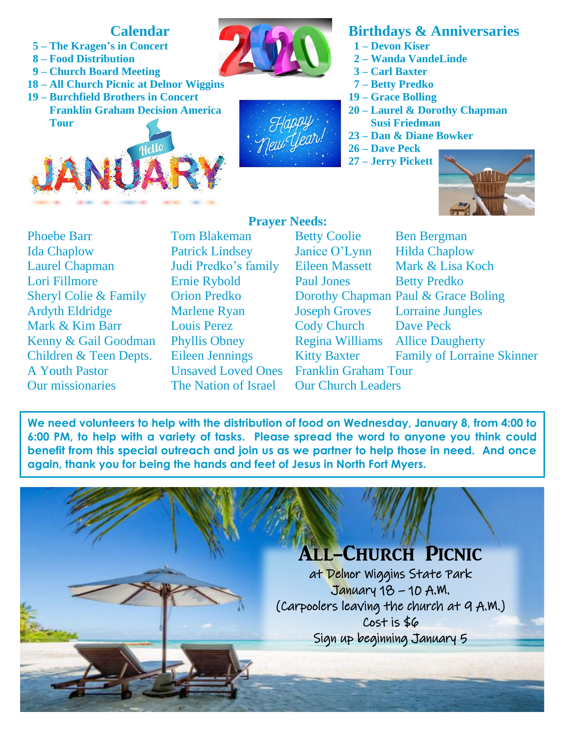## **Calendar**

- **5 – The Kragen's in Concert**
- **8 – Food Distribution**
- **9 – Church Board Meeting**
- **18 – All Church Picnic at Delnor Wiggins**
- **19 – Burchfield Brothers in Concert Franklin Graham Decision America Tour**







# **Birthdays & Anniversaries**

- **1 – Devon Kiser**
- **2 – Wanda VandeLinde**
- **3 – Carl Baxter**
- **7 – Betty Predko**
- **19 – Grace Bolling**
- **20 – Laurel & Dorothy Chapman**
	- **Susi Friedman**
- **23 – Dan & Diane Bowker**
- **26 – Dave Peck**
- **27 – Jerry Pickett**



Phoebe Barr Tom Blakeman Ida Chaplow Patrick Lindsey Laurel Chapman Judi Predko's family Lori Fillmore Betty Betty Betty Betty Predict Betty Predict Betty Predict Betty Predict Betty Predict Betty Predict Betty Predict Betty Predict Betty Predict Betty Predict Betty Predict Betty Predict Betty Predict Betty Pr Sheryl Colie & Family Orion Predko Ardyth Eldridge Marlene Ryan Mark & Kim Barr Louis Perez Kenny & Gail Goodman Phyllis Obney Children & Teen Depts. Eileen Jennings A Youth Pastor **Unsaved Loved Ones** 

# **Prayer Needs:**

Our missionaries The Nation of Israel Our Church Leaders

| <b>Betty Coolie</b>                     | <b>Ben Bergman</b>                  |
|-----------------------------------------|-------------------------------------|
| Janice O'Lynn                           | <b>Hilda Chaplow</b>                |
| Eileen Massett                          | Mark & Lisa Koch                    |
| <b>Paul Jones</b>                       | <b>Betty Predko</b>                 |
|                                         | Dorothy Chapman Paul & Grace Boling |
| <b>Joseph Groves</b>                    | <b>Lorraine Jungles</b>             |
| <b>Cody Church</b>                      | <b>Dave Peck</b>                    |
| <b>Regina Williams</b> Allice Daugherty |                                     |
| <b>Kitty Baxter</b>                     | <b>Family of Lorraine Skinner</b>   |
| Franklin Graham Tour                    |                                     |
| Jur Church Loadors                      |                                     |

we need volunteers to help with the distribution of food on Wednesday, January 8, from 4:00 to **a 6:00 PM, to help with a variety of tasks. Please spread the word to anyone you think could benefit from this special outreach and join us as we partner to help those in need. And once again, thank you for being the hands and feet of Jesus in North Fort Myers.**

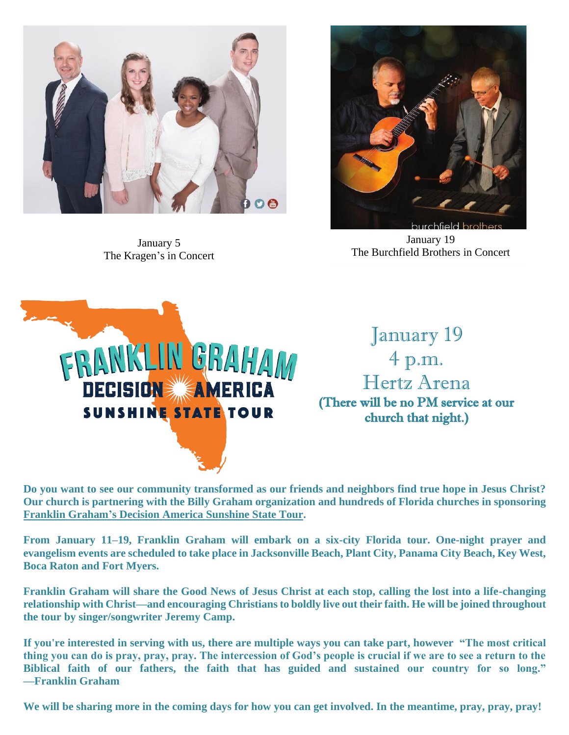

January 5 The Kragen's in Concert



January 19 The Burchfield Brothers in Concert



January 19 4 p.m. Hertz Arena (There will be no PM service at our church that night.)

**Do you want to see our community transformed as our friends and neighbors find true hope in Jesus Christ? Our church is partnering with the Billy Graham organization and hundreds of Florida churches in sponsoring Franklin Graham's Decision America Sunshine State Tour.** 

**From January 11–19, Franklin Graham will embark on a six-city Florida tour. One-night prayer and evangelism events are scheduled to take place in Jacksonville Beach, Plant City, Panama City Beach, Key West, Boca Raton and Fort Myers.**

**Franklin Graham will share the Good News of Jesus Christ at each stop, calling the lost into a life-changing relationship with Christ—and encouraging Christians to boldly live out their faith. He will be joined throughout the tour by singer/songwriter Jeremy Camp.**

**If you're interested in serving with us, there are multiple ways you can take part, however "The most critical thing you can do is pray, pray, pray. The intercession of God's people is crucial if we are to see a return to the Biblical faith of our fathers, the faith that has guided and sustained our country for so long." —Franklin Graham**

**We will be sharing more in the coming days for how you can get involved. In the meantime, pray, pray, pray!**